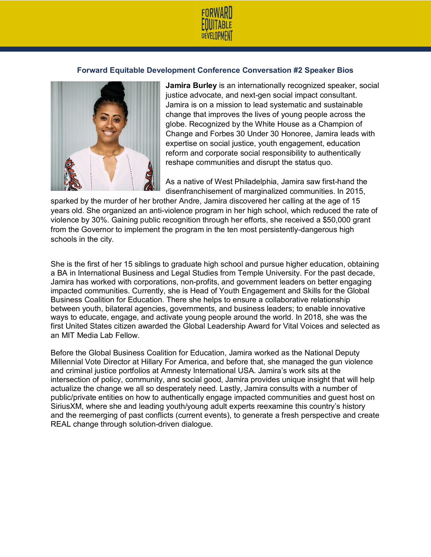

## **Forward Equitable Development Conference Conversation #2 Speaker Bios**



**Jamira Burley** is an internationally recognized speaker, social justice advocate, and next-gen social impact consultant. Jamira is on a mission to lead systematic and sustainable change that improves the lives of young people across the globe. Recognized by the White House as a Champion of Change and Forbes 30 Under 30 Honoree, Jamira leads with expertise on social justice, youth engagement, education reform and corporate social responsibility to authentically reshape communities and disrupt the status quo.

As a native of West Philadelphia, Jamira saw first-hand the disenfranchisement of marginalized communities. In 2015,

sparked by the murder of her brother Andre, Jamira discovered her calling at the age of 15 years old. She organized an anti-violence program in her high school, which reduced the rate of violence by 30%. Gaining public recognition through her efforts, she received a \$50,000 grant from the Governor to implement the program in the ten most persistently-dangerous high schools in the city.

She is the first of her 15 siblings to graduate high school and pursue higher education, obtaining a BA in International Business and Legal Studies from Temple University. For the past decade, Jamira has worked with corporations, non-profits, and government leaders on better engaging impacted communities. Currently, she is Head of Youth Engagement and Skills for the Global Business Coalition for Education. There she helps to ensure a collaborative relationship between youth, bilateral agencies, governments, and business leaders; to enable innovative ways to educate, engage, and activate young people around the world. In 2018, she was the first United States citizen awarded the Global Leadership Award for Vital Voices and selected as an MIT Media Lab Fellow.

Before the Global Business Coalition for Education, Jamira worked as the National Deputy Millennial Vote Director at Hillary For America, and before that, she managed the gun violence and criminal justice portfolios at Amnesty International USA. Jamira's work sits at the intersection of policy, community, and social good, Jamira provides unique insight that will help actualize the change we all so desperately need. Lastly, Jamira consults with a number of public/private entities on how to authentically engage impacted communities and guest host on SiriusXM, where she and leading youth/young adult experts reexamine this country's history and the reemerging of past conflicts (current events), to generate a fresh perspective and create REAL change through solution-driven dialogue.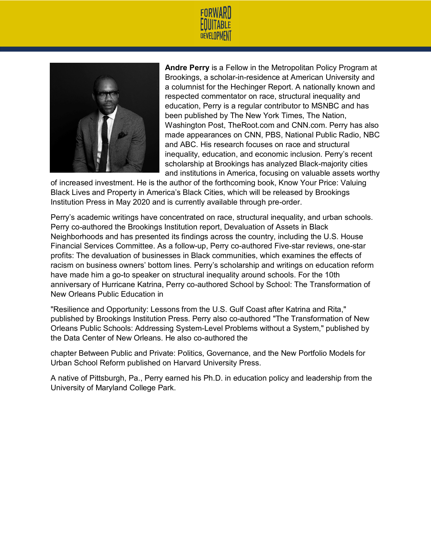



**Andre Perry** is a Fellow in the Metropolitan Policy Program at Brookings, a scholar-in-residence at American University and a columnist for the Hechinger Report. A nationally known and respected commentator on race, structural inequality and education, Perry is a regular contributor to MSNBC and has been published by The New York Times, The Nation, Washington Post, TheRoot.com and CNN.com. Perry has also made appearances on CNN, PBS, National Public Radio, NBC and ABC. His research focuses on race and structural inequality, education, and economic inclusion. Perry's recent scholarship at Brookings has analyzed Black-majority cities and institutions in America, focusing on valuable assets worthy

of increased investment. He is the author of the forthcoming book, Know Your Price: Valuing Black Lives and Property in America's Black Cities, which will be released by Brookings Institution Press in May 2020 and is currently available through pre-order.

Perry's academic writings have concentrated on race, structural inequality, and urban schools. Perry co-authored the Brookings Institution report, Devaluation of Assets in Black Neighborhoods and has presented its findings across the country, including the U.S. House Financial Services Committee. As a follow-up, Perry co-authored Five-star reviews, one-star profits: The devaluation of businesses in Black communities, which examines the effects of racism on business owners' bottom lines. Perry's scholarship and writings on education reform have made him a go-to speaker on structural inequality around schools. For the 10th anniversary of Hurricane Katrina, Perry co-authored School by School: The Transformation of New Orleans Public Education in

"Resilience and Opportunity: Lessons from the U.S. Gulf Coast after Katrina and Rita," published by Brookings Institution Press. Perry also co-authored "The Transformation of New Orleans Public Schools: Addressing System-Level Problems without a System," published by the Data Center of New Orleans. He also co-authored the

chapter Between Public and Private: Politics, Governance, and the New Portfolio Models for Urban School Reform published on Harvard University Press.

A native of Pittsburgh, Pa., Perry earned his Ph.D. in education policy and leadership from the University of Maryland College Park.